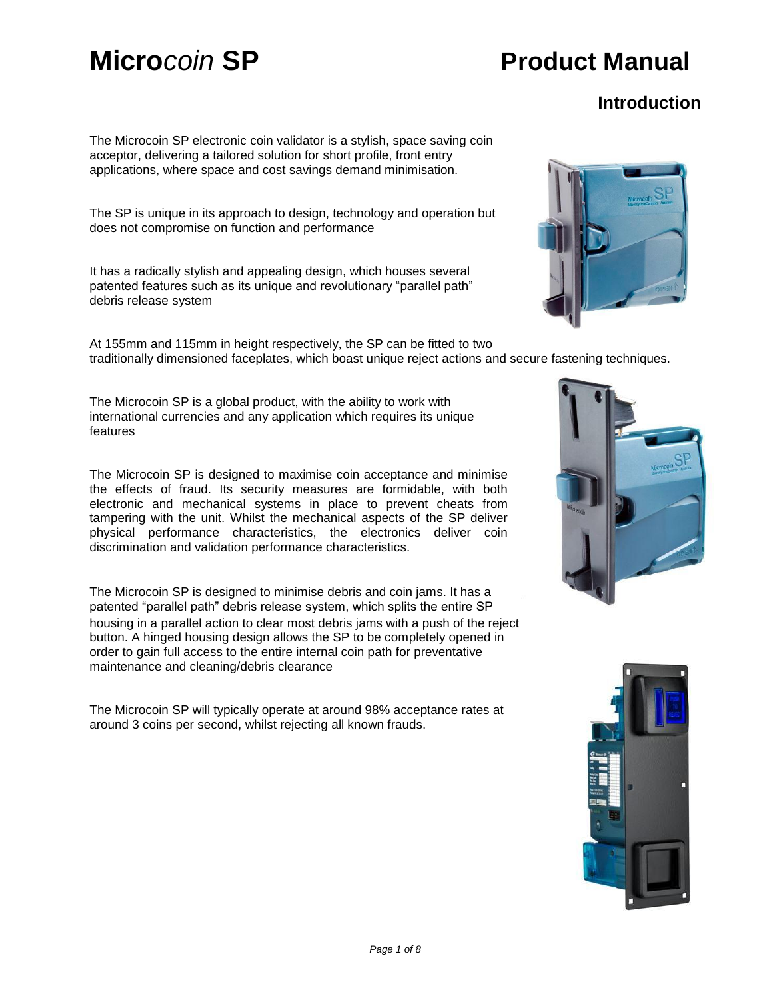## **Introduction**

The Microcoin SP electronic coin validator is a stylish, space saving coin acceptor, delivering a tailored solution for short profile, front entry applications, where space and cost savings demand minimisation.

The SP is unique in its approach to design, technology and operation but does not compromise on function and performance

It has a radically stylish and appealing design, which houses several patented features such as its unique and revolutionary "parallel path" debris release system

At 155mm and 115mm in height respectively, the SP can be fitted to two traditionally dimensioned faceplates, which boast unique reject actions and secure fastening techniques.

The Microcoin SP is a global product, with the ability to work with international currencies and any application which requires its unique features

The Microcoin SP is designed to maximise coin acceptance and minimise the effects of fraud. Its security measures are formidable, with both electronic and mechanical systems in place to prevent cheats from tampering with the unit. Whilst the mechanical aspects of the SP deliver physical performance characteristics, the electronics deliver coin discrimination and validation performance characteristics.

The Microcoin SP is designed to minimise debris and coin jams. It has a patented "parallel path" debris release system, which splits the entire SP housing in a parallel action to clear most debris jams with a push of the reject button. A hinged housing design allows the SP to be completely opened in order to gain full access to the entire internal coin path for preventative maintenance and cleaning/debris clearance

The Microcoin SP will typically operate at around 98% acceptance rates at around 3 coins per second, whilst rejecting all known frauds.





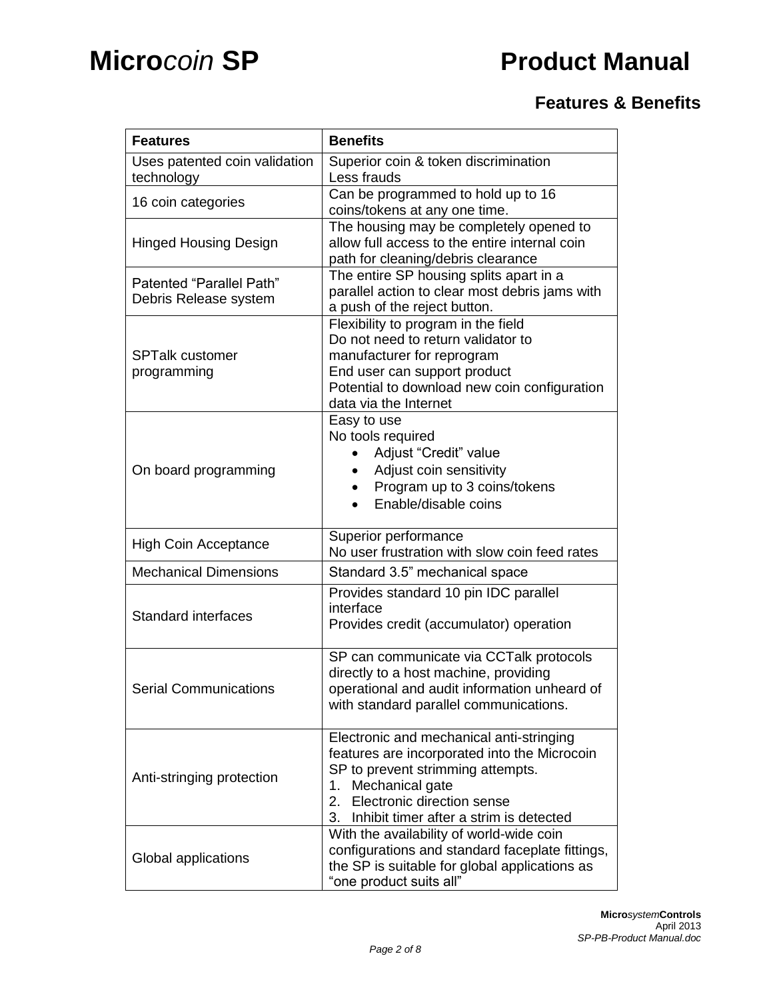## **Features & Benefits**

| <b>Features</b>                                   | <b>Benefits</b>                                                                                                                                                                                                                             |
|---------------------------------------------------|---------------------------------------------------------------------------------------------------------------------------------------------------------------------------------------------------------------------------------------------|
| Uses patented coin validation<br>technology       | Superior coin & token discrimination<br>Less frauds                                                                                                                                                                                         |
| 16 coin categories                                | Can be programmed to hold up to 16<br>coins/tokens at any one time.                                                                                                                                                                         |
| <b>Hinged Housing Design</b>                      | The housing may be completely opened to<br>allow full access to the entire internal coin<br>path for cleaning/debris clearance                                                                                                              |
| Patented "Parallel Path"<br>Debris Release system | The entire SP housing splits apart in a<br>parallel action to clear most debris jams with<br>a push of the reject button.                                                                                                                   |
| <b>SPTalk customer</b><br>programming             | Flexibility to program in the field<br>Do not need to return validator to<br>manufacturer for reprogram<br>End user can support product<br>Potential to download new coin configuration<br>data via the Internet                            |
| On board programming                              | Easy to use<br>No tools required<br>Adjust "Credit" value<br>Adjust coin sensitivity<br>Program up to 3 coins/tokens<br>Enable/disable coins                                                                                                |
| <b>High Coin Acceptance</b>                       | Superior performance<br>No user frustration with slow coin feed rates                                                                                                                                                                       |
| <b>Mechanical Dimensions</b>                      | Standard 3.5" mechanical space                                                                                                                                                                                                              |
| Standard interfaces                               | Provides standard 10 pin IDC parallel<br>interface<br>Provides credit (accumulator) operation                                                                                                                                               |
| <b>Serial Communications</b>                      | SP can communicate via CCTalk protocols<br>directly to a host machine, providing<br>operational and audit information unheard of<br>with standard parallel communications.                                                                  |
| Anti-stringing protection                         | Electronic and mechanical anti-stringing<br>features are incorporated into the Microcoin<br>SP to prevent strimming attempts.<br>1.<br>Mechanical gate<br>Electronic direction sense<br>2.<br>3.<br>Inhibit timer after a strim is detected |
| Global applications                               | With the availability of world-wide coin<br>configurations and standard faceplate fittings,<br>the SP is suitable for global applications as<br>"one product suits all"                                                                     |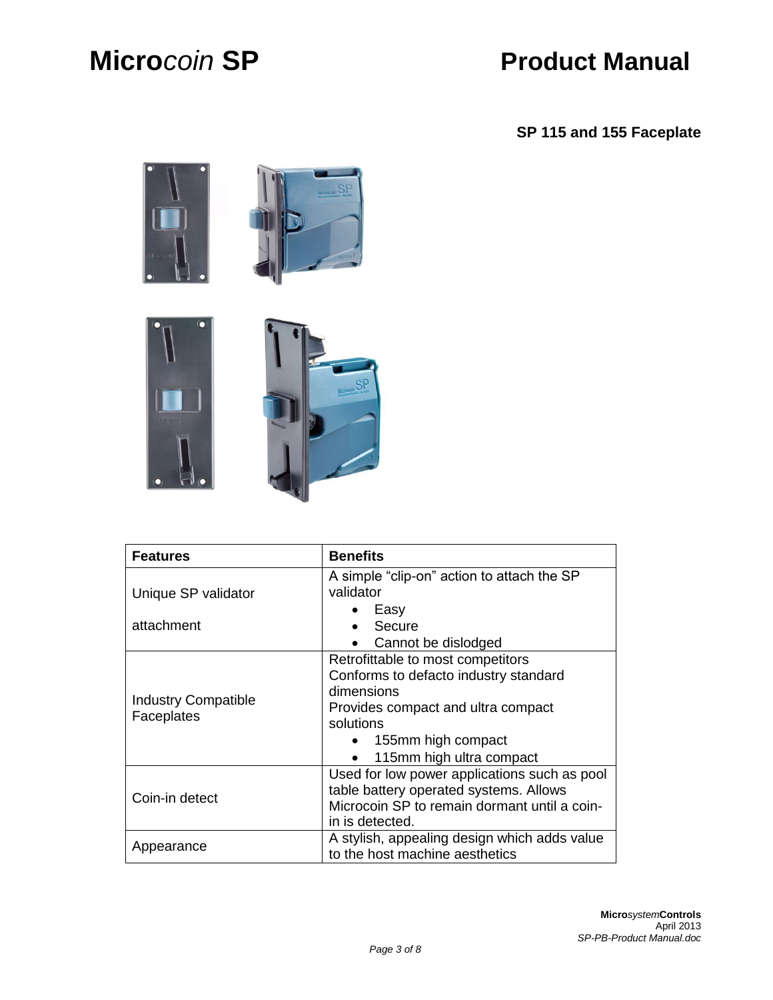**SP 115 and 155 Faceplate**









| <b>Features</b>            | <b>Benefits</b>                              |
|----------------------------|----------------------------------------------|
|                            | A simple "clip-on" action to attach the SP   |
| Unique SP validator        | validator                                    |
|                            | Easy                                         |
| attachment                 | Secure                                       |
|                            | Cannot be dislodged                          |
|                            | Retrofittable to most competitors            |
|                            | Conforms to defacto industry standard        |
| <b>Industry Compatible</b> | dimensions                                   |
| Faceplates                 | Provides compact and ultra compact           |
|                            | solutions                                    |
|                            | 155mm high compact                           |
|                            | 115mm high ultra compact<br>$\bullet$        |
|                            | Used for low power applications such as pool |
| Coin-in detect             | table battery operated systems. Allows       |
|                            | Microcoin SP to remain dormant until a coin- |
|                            | in is detected.                              |
| Appearance                 | A stylish, appealing design which adds value |
|                            | to the host machine aesthetics               |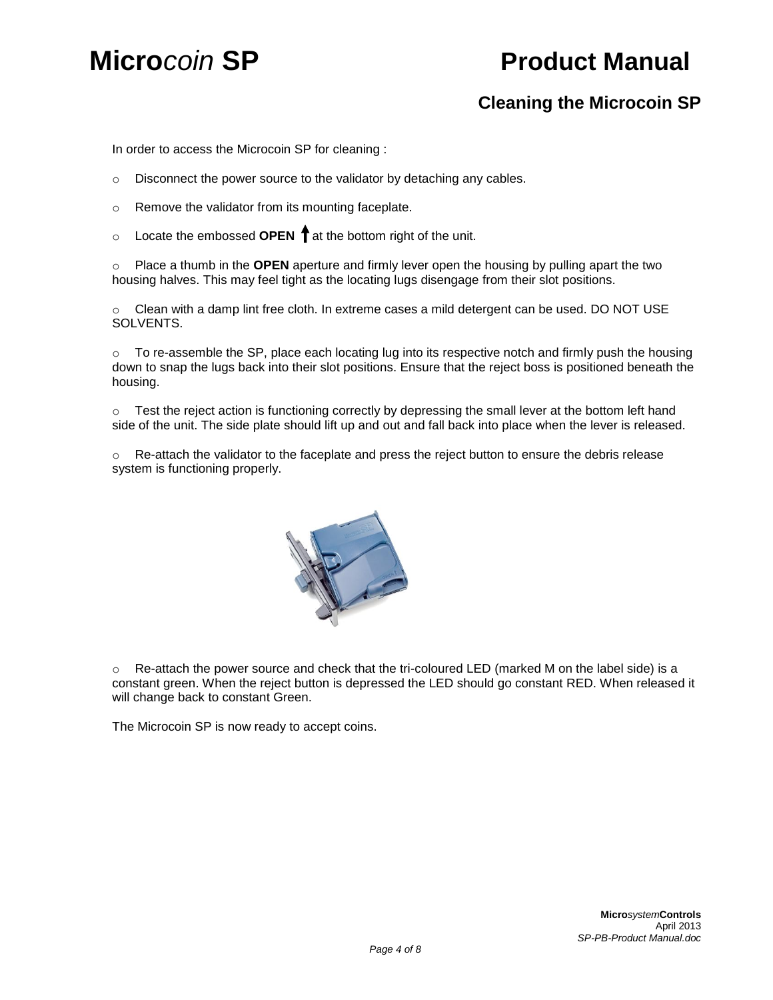## **Cleaning the Microcoin SP**

In order to access the Microcoin SP for cleaning :

- o Disconnect the power source to the validator by detaching any cables.
- o Remove the validator from its mounting faceplate.
- $\circ$  Locate the embossed **OPEN**  $\uparrow$  at the bottom right of the unit.

o Place a thumb in the **OPEN** aperture and firmly lever open the housing by pulling apart the two housing halves. This may feel tight as the locating lugs disengage from their slot positions.

 $\circ$  Clean with a damp lint free cloth. In extreme cases a mild detergent can be used. DO NOT USE SOLVENTS.

 $\circ$  To re-assemble the SP, place each locating lug into its respective notch and firmly push the housing down to snap the lugs back into their slot positions. Ensure that the reject boss is positioned beneath the housing.

 $\circ$  Test the reject action is functioning correctly by depressing the small lever at the bottom left hand side of the unit. The side plate should lift up and out and fall back into place when the lever is released.

 $\circ$  Re-attach the validator to the faceplate and press the reject button to ensure the debris release system is functioning properly.



Re-attach the power source and check that the tri-coloured LED (marked M on the label side) is a constant green. When the reject button is depressed the LED should go constant RED. When released it will change back to constant Green.

The Microcoin SP is now ready to accept coins.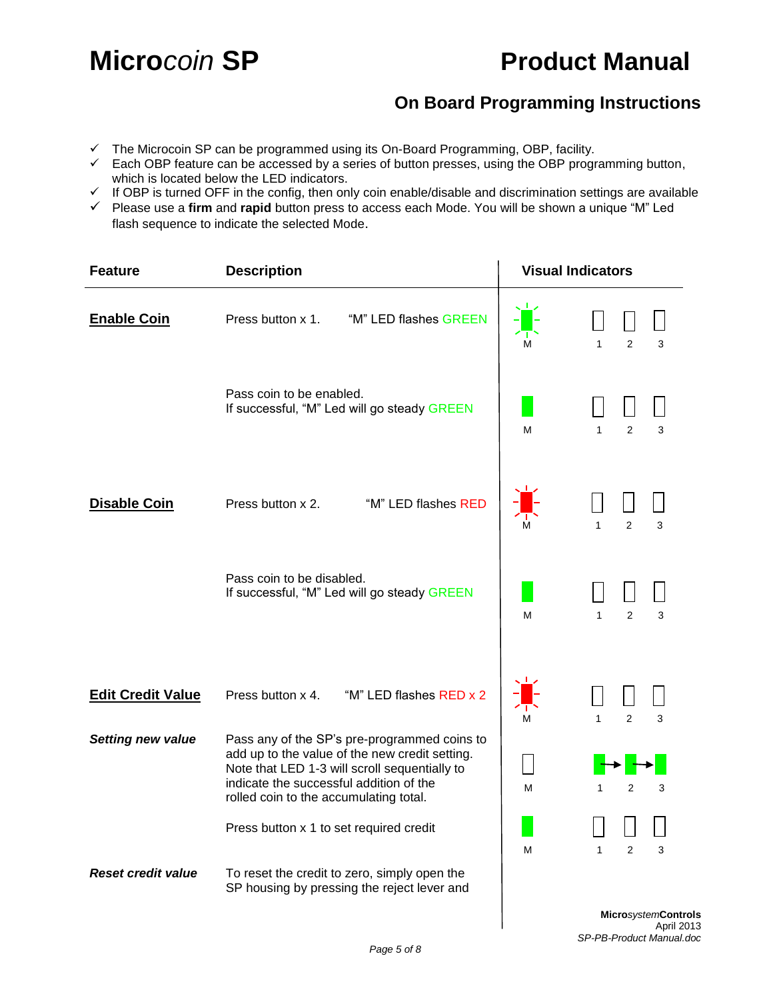## **On Board Programming Instructions**

- $\checkmark$  The Microcoin SP can be programmed using its On-Board Programming, OBP, facility.
- $\checkmark$  Each OBP feature can be accessed by a series of button presses, using the OBP programming button, which is located below the LED indicators.
- $\checkmark$  If OBP is turned OFF in the config, then only coin enable/disable and discrimination settings are available
- Please use a **firm** and **rapid** button press to access each Mode. You will be shown a unique "M" Led flash sequence to indicate the selected Mode.

| Feature                   | <b>Description</b>                                                                                                                                                                                                                   | <b>Visual Indicators</b> |                     |
|---------------------------|--------------------------------------------------------------------------------------------------------------------------------------------------------------------------------------------------------------------------------------|--------------------------|---------------------|
| <b>Enable Coin</b>        | Press button x 1.<br>"M" LED flashes GREEN                                                                                                                                                                                           | 1<br>м                   | $\mathfrak{p}$<br>3 |
|                           | Pass coin to be enabled.<br>If successful, "M" Led will go steady GREEN                                                                                                                                                              | М<br>1                   | $\overline{2}$<br>3 |
| <b>Disable Coin</b>       | "M" LED flashes RED<br>Press button x 2.                                                                                                                                                                                             | $\mathbf{1}$             | $\overline{2}$<br>3 |
|                           | Pass coin to be disabled.<br>If successful, "M" Led will go steady GREEN                                                                                                                                                             | M<br>1                   | $\overline{2}$<br>3 |
| <b>Edit Credit Value</b>  | Press button x 4.<br>"M" LED flashes RED x 2                                                                                                                                                                                         | м<br>1                   | $\overline{2}$<br>3 |
| <b>Setting new value</b>  | Pass any of the SP's pre-programmed coins to<br>add up to the value of the new credit setting.<br>Note that LED 1-3 will scroll sequentially to<br>indicate the successful addition of the<br>rolled coin to the accumulating total. | M                        | $\overline{2}$<br>3 |
|                           | Press button x 1 to set required credit                                                                                                                                                                                              | $\mathbf{1}$<br>м        | 2<br>3              |
| <b>Reset credit value</b> | To reset the credit to zero, simply open the<br>SP housing by pressing the reject lever and                                                                                                                                          |                          |                     |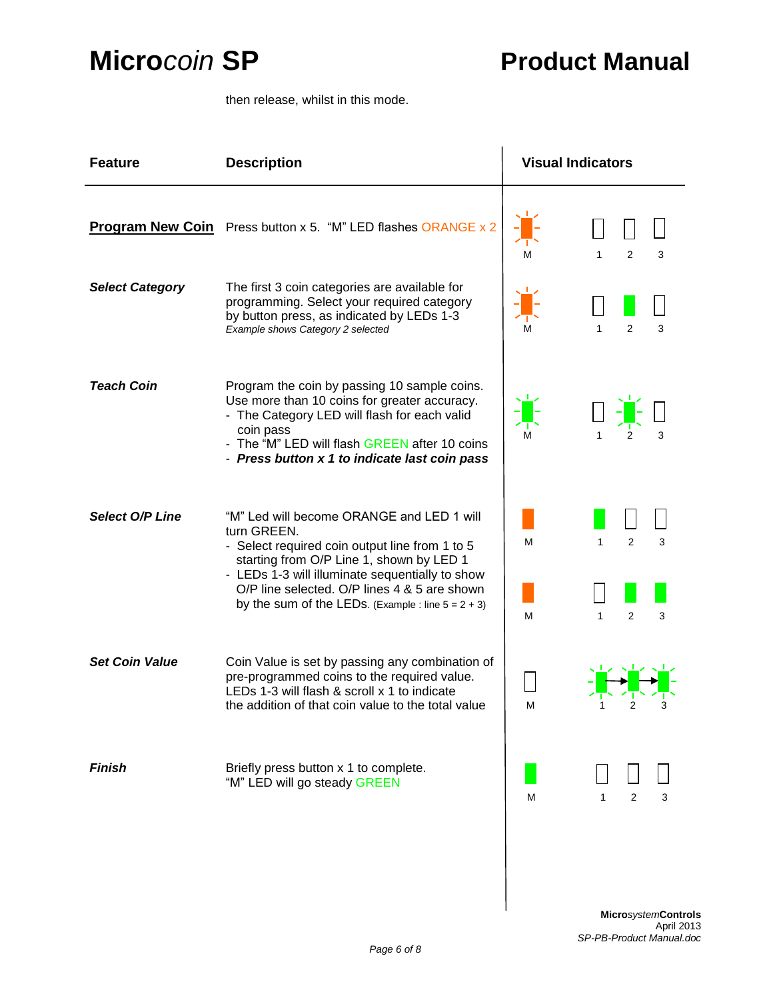then release, whilst in this mode.

| <b>Feature</b>         | <b>Description</b>                                                                                                                                                                                                                                                                                                 | <b>Visual Indicators</b>                                       |
|------------------------|--------------------------------------------------------------------------------------------------------------------------------------------------------------------------------------------------------------------------------------------------------------------------------------------------------------------|----------------------------------------------------------------|
|                        | <b>Program New Coin</b> Press button x 5. "M" LED flashes ORANGE x 2                                                                                                                                                                                                                                               | $\overline{2}$<br>M<br>1<br>3                                  |
| <b>Select Category</b> | The first 3 coin categories are available for<br>programming. Select your required category<br>by button press, as indicated by LEDs 1-3<br>Example shows Category 2 selected                                                                                                                                      | $\mathbf{1}$<br>$\overline{2}$<br>3<br>М                       |
| <b>Teach Coin</b>      | Program the coin by passing 10 sample coins.<br>Use more than 10 coins for greater accuracy.<br>- The Category LED will flash for each valid<br>coin pass<br>- The "M" LED will flash GREEN after 10 coins<br>- Press button x 1 to indicate last coin pass                                                        | 3                                                              |
| <b>Select O/P Line</b> | "M" Led will become ORANGE and LED 1 will<br>turn GREEN.<br>- Select required coin output line from 1 to 5<br>starting from O/P Line 1, shown by LED 1<br>- LEDs 1-3 will illuminate sequentially to show<br>O/P line selected. O/P lines 4 & 5 are shown<br>by the sum of the LEDs. (Example : line $5 = 2 + 3$ ) | $\overline{2}$<br>3<br>М<br>1<br>$\overline{2}$<br>М<br>1<br>3 |
| <b>Set Coin Value</b>  | Coin Value is set by passing any combination of<br>pre-programmed coins to the required value.<br>LEDs 1-3 will flash & scroll x 1 to indicate<br>the addition of that coin value to the total value                                                                                                               | М                                                              |
| <b>Finish</b>          | Briefly press button x 1 to complete.<br>"M" LED will go steady GREEN                                                                                                                                                                                                                                              | М<br>2<br>3                                                    |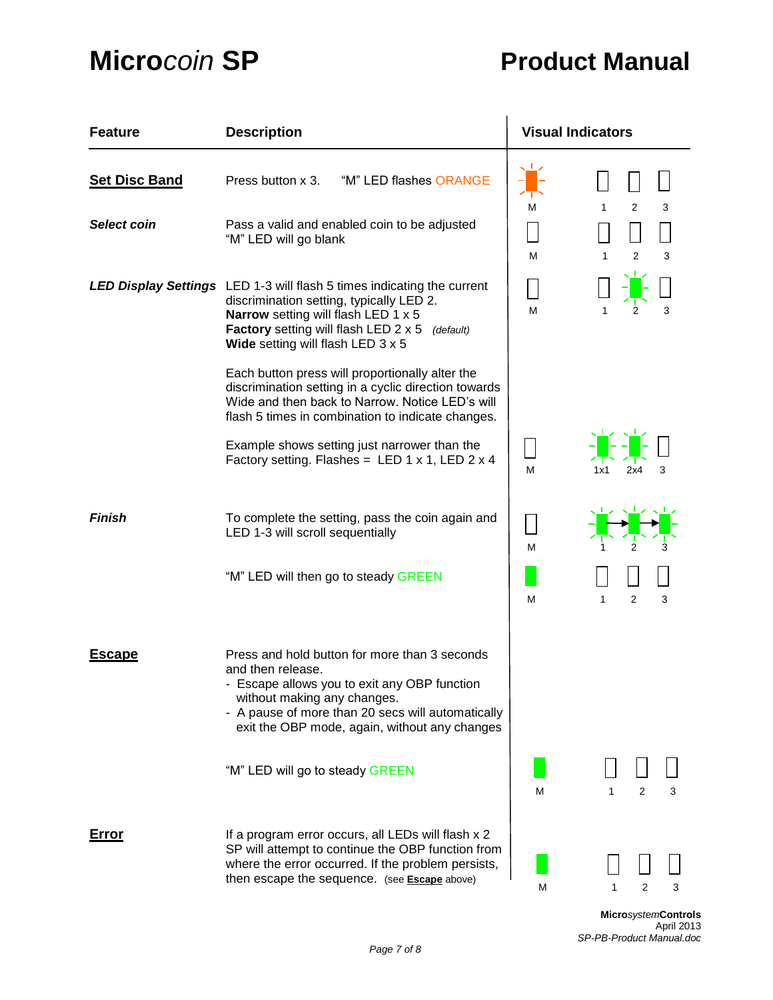| <b>Feature</b>       | <b>Description</b>                                                                                                                                                                                                                                                       | <b>Visual Indicators</b> |
|----------------------|--------------------------------------------------------------------------------------------------------------------------------------------------------------------------------------------------------------------------------------------------------------------------|--------------------------|
| <b>Set Disc Band</b> | "M" LED flashes ORANGE<br>Press button x 3.                                                                                                                                                                                                                              | 2<br>3<br>M              |
| Select coin          | Pass a valid and enabled coin to be adjusted<br>"M" LED will go blank                                                                                                                                                                                                    | М<br>1<br>2<br>3         |
|                      | <b>LED Display Settings</b> LED 1-3 will flash 5 times indicating the current<br>discrimination setting, typically LED 2.<br><b>Narrow</b> setting will flash LED 1 x 5<br><b>Factory</b> setting will flash LED 2 x 5<br>(default)<br>Wide setting will flash LED 3 x 5 | М<br>1<br>3              |
|                      | Each button press will proportionally alter the<br>discrimination setting in a cyclic direction towards<br>Wide and then back to Narrow. Notice LED's will<br>flash 5 times in combination to indicate changes.                                                          |                          |
|                      | Example shows setting just narrower than the<br>Factory setting. Flashes = LED 1 x 1, LED 2 x 4                                                                                                                                                                          | м<br>2x4<br>1x1          |
| <b>Finish</b>        | To complete the setting, pass the coin again and<br>LED 1-3 will scroll sequentially                                                                                                                                                                                     | М                        |
|                      | "M" LED will then go to steady GREEN                                                                                                                                                                                                                                     | 1<br>2<br>3<br>м         |
| <b>Escape</b>        | Press and hold button for more than 3 seconds<br>and then release.<br>- Escape allows you to exit any OBP function<br>without making any changes.<br>- A pause of more than 20 secs will automatically<br>exit the OBP mode, again, without any changes                  |                          |
|                      | "M" LED will go to steady GREEN                                                                                                                                                                                                                                          | M<br>2<br>1<br>3         |
| Error                | If a program error occurs, all LEDs will flash x 2<br>SP will attempt to continue the OBP function from<br>where the error occurred. If the problem persists,<br>then escape the sequence. (see <b>Escape</b> above)                                                     | М<br>2<br>3<br>1         |

**Micro***system***Controls** April 2013 *SP-PB-Product Manual.doc*